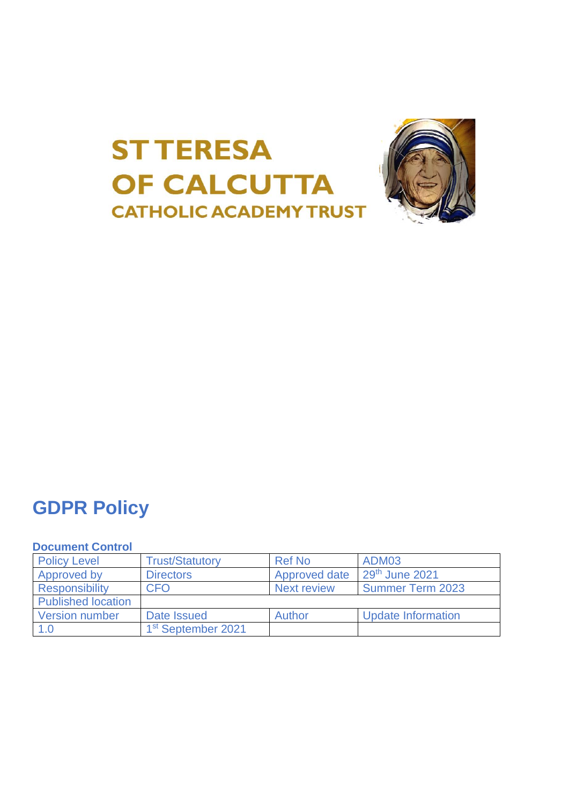



# **GDPR Policy**

# **Document Control**

| <b>Policy Level</b>       | <b>Trust/Statutory</b>         | <b>Ref No</b>      | ADM03                     |
|---------------------------|--------------------------------|--------------------|---------------------------|
| Approved by               | <b>Directors</b>               | Approved date      | $29th$ June 2021          |
| <b>Responsibility</b>     | <b>CFO</b>                     | <b>Next review</b> | <b>Summer Term 2023</b>   |
| <b>Published location</b> |                                |                    |                           |
| <b>Version number</b>     | Date Issued                    | Author             | <b>Update Information</b> |
| 1.0                       | 1 <sup>st</sup> September 2021 |                    |                           |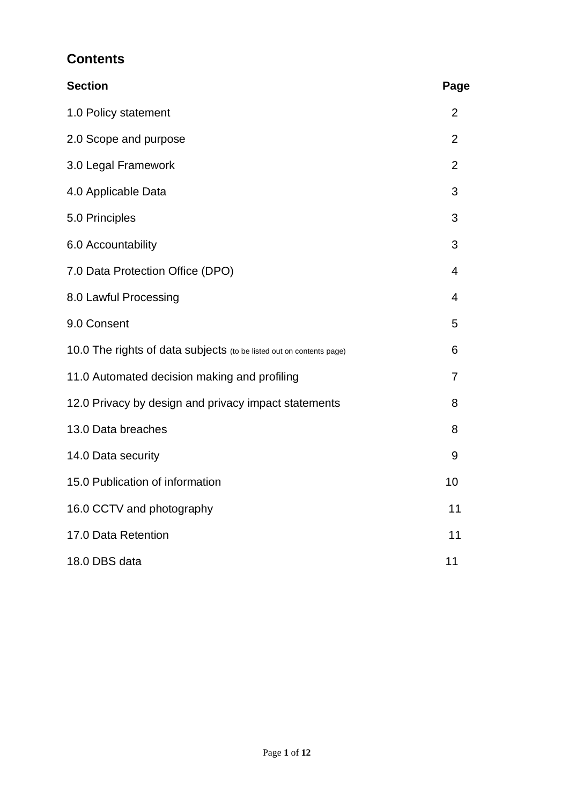# **Contents**

| <b>Section</b>                                                       | Page           |
|----------------------------------------------------------------------|----------------|
| 1.0 Policy statement                                                 | $\overline{2}$ |
| 2.0 Scope and purpose                                                | $\overline{2}$ |
| 3.0 Legal Framework                                                  | $\overline{2}$ |
| 4.0 Applicable Data                                                  | 3              |
| 5.0 Principles                                                       | 3              |
| 6.0 Accountability                                                   | 3              |
| 7.0 Data Protection Office (DPO)                                     | $\overline{4}$ |
| 8.0 Lawful Processing                                                | $\overline{4}$ |
| 9.0 Consent                                                          | 5              |
| 10.0 The rights of data subjects (to be listed out on contents page) | 6              |
| 11.0 Automated decision making and profiling                         | $\overline{7}$ |
| 12.0 Privacy by design and privacy impact statements                 | 8              |
| 13.0 Data breaches                                                   | 8              |
| 14.0 Data security                                                   | 9              |
| 15.0 Publication of information                                      | 10             |
| 16.0 CCTV and photography                                            | 11             |
| 17.0 Data Retention                                                  | 11             |
| 18.0 DBS data                                                        | 11             |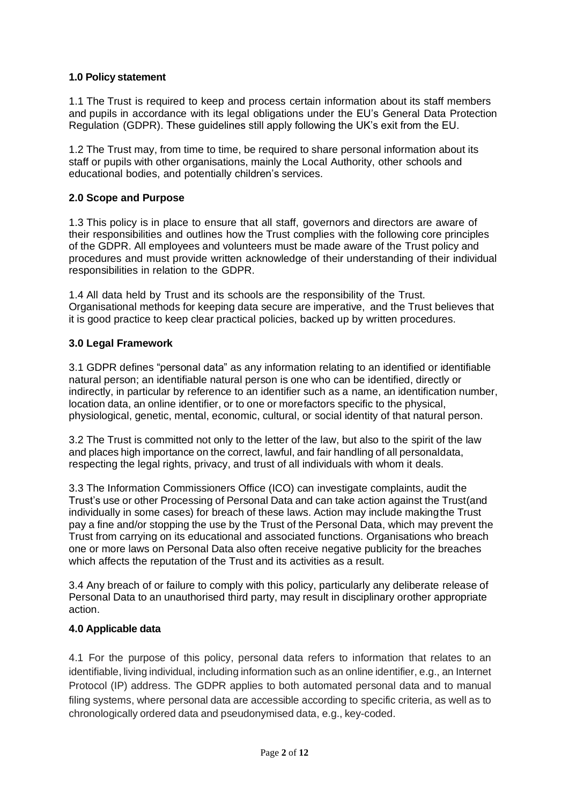### **1.0 Policy statement**

1.1 The Trust is required to keep and process certain information about its staff members and pupils in accordance with its legal obligations under the EU's General Data Protection Regulation (GDPR). These guidelines still apply following the UK's exit from the EU.

1.2 The Trust may, from time to time, be required to share personal information about its staff or pupils with other organisations, mainly the Local Authority, other schools and educational bodies, and potentially children's services.

#### **2.0 Scope and Purpose**

1.3 This policy is in place to ensure that all staff, governors and directors are aware of their responsibilities and outlines how the Trust complies with the following core principles of the GDPR. All employees and volunteers must be made aware of the Trust policy and procedures and must provide written acknowledge of their understanding of their individual responsibilities in relation to the GDPR.

1.4 All data held by Trust and its schools are the responsibility of the Trust. Organisational methods for keeping data secure are imperative, and the Trust believes that it is good practice to keep clear practical policies, backed up by written procedures.

### **3.0 Legal Framework**

3.1 GDPR defines "personal data" as any information relating to an identified or identifiable natural person; an identifiable natural person is one who can be identified, directly or indirectly, in particular by reference to an identifier such as a name, an identification number, location data, an online identifier, or to one or morefactors specific to the physical, physiological, genetic, mental, economic, cultural, or social identity of that natural person.

3.2 The Trust is committed not only to the letter of the law, but also to the spirit of the law and places high importance on the correct, lawful, and fair handling of all personaldata, respecting the legal rights, privacy, and trust of all individuals with whom it deals.

3.3 The Information Commissioners Office (ICO) can investigate complaints, audit the Trust's use or other Processing of Personal Data and can take action against the Trust(and individually in some cases) for breach of these laws. Action may include makingthe Trust pay a fine and/or stopping the use by the Trust of the Personal Data, which may prevent the Trust from carrying on its educational and associated functions. Organisations who breach one or more laws on Personal Data also often receive negative publicity for the breaches which affects the reputation of the Trust and its activities as a result.

3.4 Any breach of or failure to comply with this policy, particularly any deliberate release of Personal Data to an unauthorised third party, may result in disciplinary orother appropriate action.

#### **4.0 Applicable data**

4.1 For the purpose of this policy, personal data refers to information that relates to an identifiable, living individual, including information such as an online identifier, e.g., an Internet Protocol (IP) address. The GDPR applies to both automated personal data and to manual filing systems, where personal data are accessible according to specific criteria, as well as to chronologically ordered data and pseudonymised data, e.g., key-coded.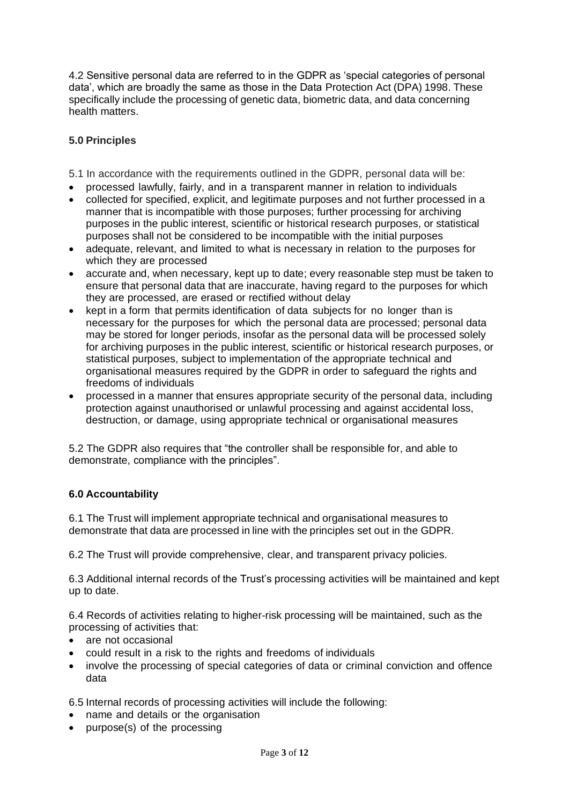4.2 Sensitive personal data are referred to in the GDPR as 'special categories of personal data', which are broadly the same as those in the Data Protection Act (DPA) 1998. These specifically include the processing of genetic data, biometric data, and data concerning health matters.

# **5.0 Principles**

5.1 In accordance with the requirements outlined in the GDPR, personal data will be:

- processed lawfully, fairly, and in a transparent manner in relation to individuals
- collected for specified, explicit, and legitimate purposes and not further processed in a manner that is incompatible with those purposes; further processing for archiving purposes in the public interest, scientific or historical research purposes, or statistical purposes shall not be considered to be incompatible with the initial purposes
- adequate, relevant, and limited to what is necessary in relation to the purposes for which they are processed
- accurate and, when necessary, kept up to date; every reasonable step must be taken to ensure that personal data that are inaccurate, having regard to the purposes for which they are processed, are erased or rectified without delay
- kept in a form that permits identification of data subjects for no longer than is necessary for the purposes for which the personal data are processed; personal data may be stored for longer periods, insofar as the personal data will be processed solely for archiving purposes in the public interest, scientific or historical research purposes, or statistical purposes, subject to implementation of the appropriate technical and organisational measures required by the GDPR in order to safeguard the rights and freedoms of individuals
- processed in a manner that ensures appropriate security of the personal data, including protection against unauthorised or unlawful processing and against accidental loss, destruction, or damage, using appropriate technical or organisational measures

5.2 The GDPR also requires that "the controller shall be responsible for, and able to demonstrate, compliance with the principles".

# **6.0 Accountability**

6.1 The Trust will implement appropriate technical and organisational measures to demonstrate that data are processed in line with the principles set out in the GDPR.

6.2 The Trust will provide comprehensive, clear, and transparent privacy policies.

6.3 Additional internal records of the Trust's processing activities will be maintained and kept up to date.

6.4 Records of activities relating to higher-risk processing will be maintained, such as the processing of activities that:

- are not occasional
- could result in a risk to the rights and freedoms of individuals
- involve the processing of special categories of data or criminal conviction and offence data

6.5 Internal records of processing activities will include the following:

- name and details or the organisation
- purpose(s) of the processing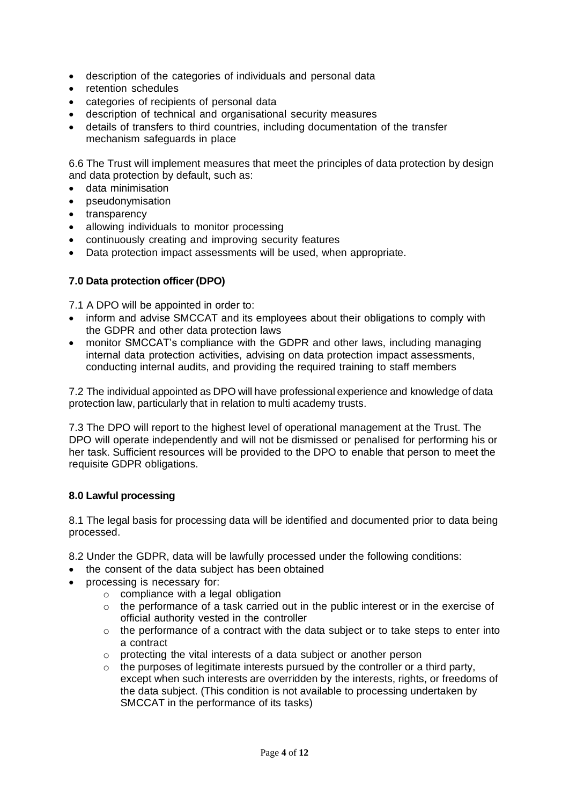- description of the categories of individuals and personal data
- retention schedules
- categories of recipients of personal data
- description of technical and organisational security measures
- details of transfers to third countries, including documentation of the transfer mechanism safeguards in place

6.6 The Trust will implement measures that meet the principles of data protection by design and data protection by default, such as:

- data minimisation
- pseudonymisation
- transparency
- allowing individuals to monitor processing
- continuously creating and improving security features
- Data protection impact assessments will be used, when appropriate.

### **7.0 Data protection officer(DPO)**

7.1 A DPO will be appointed in order to:

- inform and advise SMCCAT and its employees about their obligations to comply with the GDPR and other data protection laws
- monitor SMCCAT's compliance with the GDPR and other laws, including managing internal data protection activities, advising on data protection impact assessments, conducting internal audits, and providing the required training to staff members

7.2 The individual appointed as DPO will have professional experience and knowledge of data protection law, particularly that in relation to multi academy trusts.

7.3 The DPO will report to the highest level of operational management at the Trust. The DPO will operate independently and will not be dismissed or penalised for performing his or her task. Sufficient resources will be provided to the DPO to enable that person to meet the requisite GDPR obligations.

#### **8.0 Lawful processing**

8.1 The legal basis for processing data will be identified and documented prior to data being processed.

8.2 Under the GDPR, data will be lawfully processed under the following conditions:

- the consent of the data subject has been obtained
- processing is necessary for:
	- o compliance with a legal obligation
	- $\circ$  the performance of a task carried out in the public interest or in the exercise of official authority vested in the controller
	- o the performance of a contract with the data subject or to take steps to enter into a contract
	- o protecting the vital interests of a data subject or another person
	- $\circ$  the purposes of legitimate interests pursued by the controller or a third party, except when such interests are overridden by the interests, rights, or freedoms of the data subject. (This condition is not available to processing undertaken by SMCCAT in the performance of its tasks)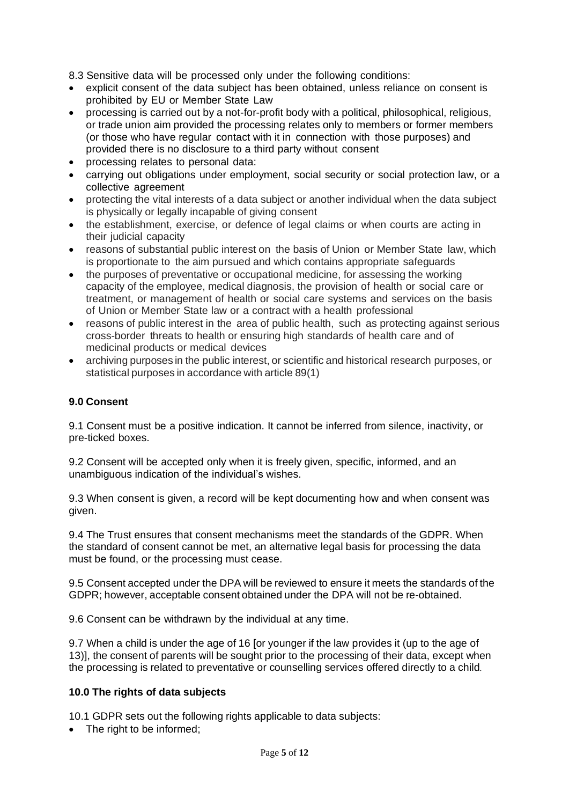8.3 Sensitive data will be processed only under the following conditions:

- explicit consent of the data subject has been obtained, unless reliance on consent is prohibited by EU or Member State Law
- processing is carried out by a not-for-profit body with a political, philosophical, religious, or trade union aim provided the processing relates only to members or former members (or those who have regular contact with it in connection with those purposes) and provided there is no disclosure to a third party without consent
- processing relates to personal data:
- carrying out obligations under employment, social security or social protection law, or a collective agreement
- protecting the vital interests of a data subject or another individual when the data subject is physically or legally incapable of giving consent
- the establishment, exercise, or defence of legal claims or when courts are acting in their judicial capacity
- reasons of substantial public interest on the basis of Union or Member State law, which is proportionate to the aim pursued and which contains appropriate safeguards
- the purposes of preventative or occupational medicine, for assessing the working capacity of the employee, medical diagnosis, the provision of health or social care or treatment, or management of health or social care systems and services on the basis of Union or Member State law or a contract with a health professional
- reasons of public interest in the area of public health, such as protecting against serious cross-border threats to health or ensuring high standards of health care and of medicinal products or medical devices
- archiving purposes in the public interest, or scientific and historical research purposes, or statistical purposes in accordance with article 89(1)

### **9.0 Consent**

9.1 Consent must be a positive indication. It cannot be inferred from silence, inactivity, or pre-ticked boxes.

9.2 Consent will be accepted only when it is freely given, specific, informed, and an unambiguous indication of the individual's wishes.

9.3 When consent is given, a record will be kept documenting how and when consent was given.

9.4 The Trust ensures that consent mechanisms meet the standards of the GDPR. When the standard of consent cannot be met, an alternative legal basis for processing the data must be found, or the processing must cease.

9.5 Consent accepted under the DPA will be reviewed to ensure it meets the standards of the GDPR; however, acceptable consent obtained under the DPA will not be re-obtained.

9.6 Consent can be withdrawn by the individual at any time.

9.7 When a child is under the age of 16 [or younger if the law provides it (up to the age of 13)], the consent of parents will be sought prior to the processing of their data, except when the processing is related to preventative or counselling services offered directly to a child.

#### **10.0 The rights of data subjects**

10.1 GDPR sets out the following rights applicable to data subjects:

• The right to be informed;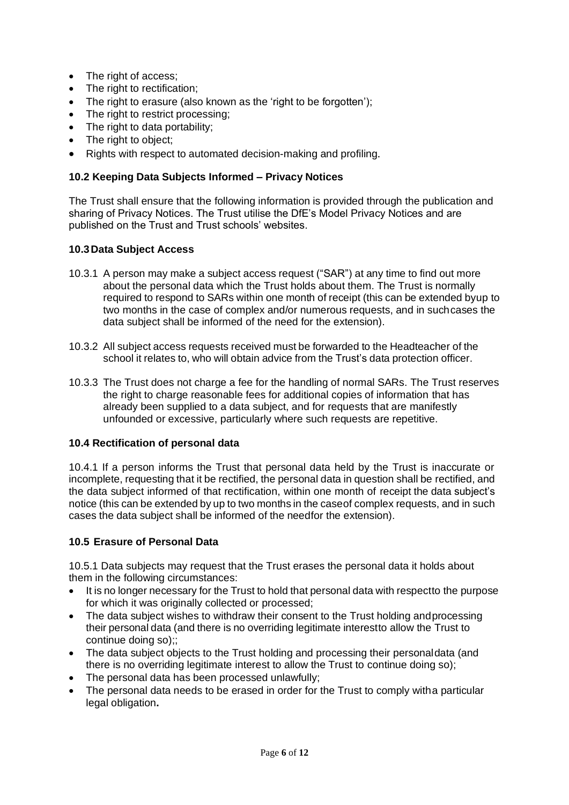- The right of access;
- The right to rectification;
- The right to erasure (also known as the 'right to be forgotten');
- The right to restrict processing:
- The right to data portability:
- The right to object;
- Rights with respect to automated decision-making and profiling.

## **10.2 Keeping Data Subjects Informed – Privacy Notices**

The Trust shall ensure that the following information is provided through the publication and sharing of Privacy Notices. The Trust utilise the DfE's Model Privacy Notices and are published on the Trust and Trust schools' websites.

### **10.3Data Subject Access**

- 10.3.1 A person may make a subject access request ("SAR") at any time to find out more about the personal data which the Trust holds about them. The Trust is normally required to respond to SARs within one month of receipt (this can be extended byup to two months in the case of complex and/or numerous requests, and in suchcases the data subject shall be informed of the need for the extension).
- 10.3.2 All subject access requests received must be forwarded to the Headteacher of the school it relates to, who will obtain advice from the Trust's data protection officer.
- 10.3.3 The Trust does not charge a fee for the handling of normal SARs. The Trust reserves the right to charge reasonable fees for additional copies of information that has already been supplied to a data subject, and for requests that are manifestly unfounded or excessive, particularly where such requests are repetitive.

# **10.4 Rectification of personal data**

10.4.1 If a person informs the Trust that personal data held by the Trust is inaccurate or incomplete, requesting that it be rectified, the personal data in question shall be rectified, and the data subject informed of that rectification, within one month of receipt the data subject's notice (this can be extended by up to two months in the caseof complex requests, and in such cases the data subject shall be informed of the needfor the extension).

#### **10.5 Erasure of Personal Data**

10.5.1 Data subjects may request that the Trust erases the personal data it holds about them in the following circumstances:

- It is no longer necessary for the Trust to hold that personal data with respectto the purpose for which it was originally collected or processed;
- The data subject wishes to withdraw their consent to the Trust holding and processing their personal data (and there is no overriding legitimate interestto allow the Trust to continue doing so);;
- The data subject objects to the Trust holding and processing their personaldata (and there is no overriding legitimate interest to allow the Trust to continue doing so);
- The personal data has been processed unlawfully;
- The personal data needs to be erased in order for the Trust to comply witha particular legal obligation**.**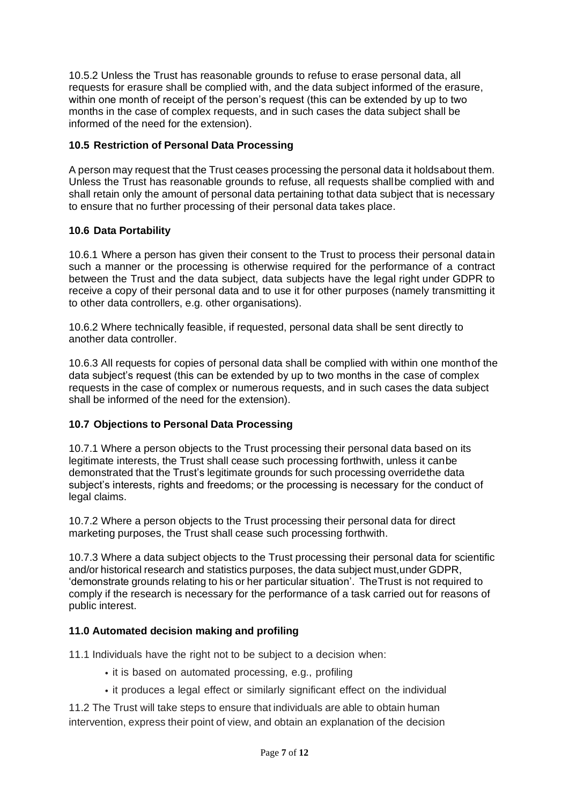10.5.2 Unless the Trust has reasonable grounds to refuse to erase personal data, all requests for erasure shall be complied with, and the data subject informed of the erasure, within one month of receipt of the person's request (this can be extended by up to two months in the case of complex requests, and in such cases the data subject shall be informed of the need for the extension).

# **10.5 Restriction of Personal Data Processing**

A person may request that the Trust ceases processing the personal data it holdsabout them. Unless the Trust has reasonable grounds to refuse, all requests shallbe complied with and shall retain only the amount of personal data pertaining tothat data subject that is necessary to ensure that no further processing of their personal data takes place.

# **10.6 Data Portability**

10.6.1 Where a person has given their consent to the Trust to process their personal datain such a manner or the processing is otherwise required for the performance of a contract between the Trust and the data subject, data subjects have the legal right under GDPR to receive a copy of their personal data and to use it for other purposes (namely transmitting it to other data controllers, e.g. other organisations).

10.6.2 Where technically feasible, if requested, personal data shall be sent directly to another data controller.

10.6.3 All requests for copies of personal data shall be complied with within one monthof the data subject's request (this can be extended by up to two months in the case of complex requests in the case of complex or numerous requests, and in such cases the data subject shall be informed of the need for the extension).

# **10.7 Objections to Personal Data Processing**

10.7.1 Where a person objects to the Trust processing their personal data based on its legitimate interests, the Trust shall cease such processing forthwith, unless it canbe demonstrated that the Trust's legitimate grounds for such processing overridethe data subject's interests, rights and freedoms; or the processing is necessary for the conduct of legal claims.

10.7.2 Where a person objects to the Trust processing their personal data for direct marketing purposes, the Trust shall cease such processing forthwith.

10.7.3 Where a data subject objects to the Trust processing their personal data for scientific and/or historical research and statistics purposes, the data subject must,under GDPR, 'demonstrate grounds relating to his or her particular situation'. TheTrust is not required to comply if the research is necessary for the performance of a task carried out for reasons of public interest.

# **11.0 Automated decision making and profiling**

11.1 Individuals have the right not to be subject to a decision when:

- it is based on automated processing, e.g., profiling
- it produces a legal effect or similarly significant effect on the individual

11.2 The Trust will take steps to ensure that individuals are able to obtain human intervention, express their point of view, and obtain an explanation of the decision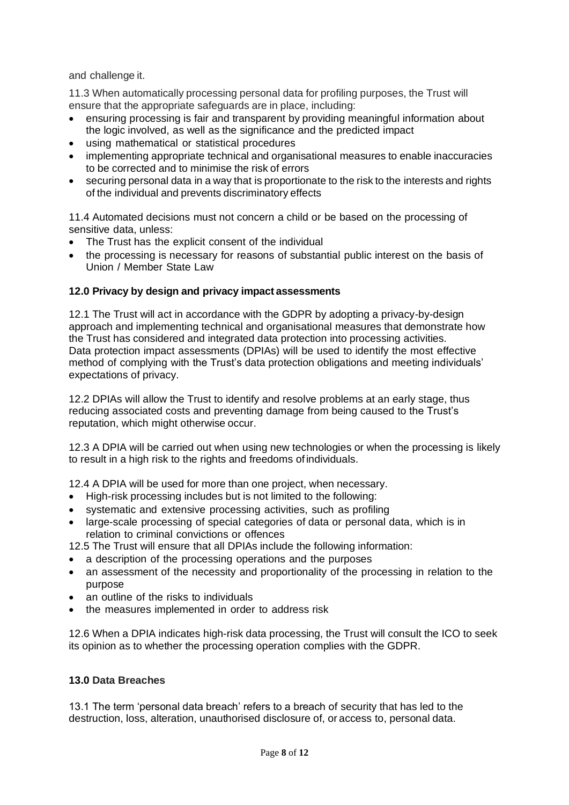and challenge it.

11.3 When automatically processing personal data for profiling purposes, the Trust will ensure that the appropriate safeguards are in place, including:

- ensuring processing is fair and transparent by providing meaningful information about the logic involved, as well as the significance and the predicted impact
- using mathematical or statistical procedures
- implementing appropriate technical and organisational measures to enable inaccuracies to be corrected and to minimise the risk of errors
- securing personal data in a way that is proportionate to the risk to the interests and rights of the individual and prevents discriminatory effects

11.4 Automated decisions must not concern a child or be based on the processing of sensitive data, unless:

- The Trust has the explicit consent of the individual
- the processing is necessary for reasons of substantial public interest on the basis of Union / Member State Law

### **12.0 Privacy by design and privacy impact assessments**

12.1 The Trust will act in accordance with the GDPR by adopting a privacy-by-design approach and implementing technical and organisational measures that demonstrate how the Trust has considered and integrated data protection into processing activities. Data protection impact assessments (DPIAs) will be used to identify the most effective method of complying with the Trust's data protection obligations and meeting individuals' expectations of privacy.

12.2 DPIAs will allow the Trust to identify and resolve problems at an early stage, thus reducing associated costs and preventing damage from being caused to the Trust's reputation, which might otherwise occur.

12.3 A DPIA will be carried out when using new technologies or when the processing is likely to result in a high risk to the rights and freedoms of individuals.

12.4 A DPIA will be used for more than one project, when necessary.

- High-risk processing includes but is not limited to the following:
- systematic and extensive processing activities, such as profiling
- large-scale processing of special categories of data or personal data, which is in relation to criminal convictions or offences

12.5 The Trust will ensure that all DPIAs include the following information:

- a description of the processing operations and the purposes
- an assessment of the necessity and proportionality of the processing in relation to the purpose
- an outline of the risks to individuals
- the measures implemented in order to address risk

12.6 When a DPIA indicates high-risk data processing, the Trust will consult the ICO to seek its opinion as to whether the processing operation complies with the GDPR.

#### **13.0 Data Breaches**

13.1 The term 'personal data breach' refers to a breach of security that has led to the destruction, loss, alteration, unauthorised disclosure of, or access to, personal data.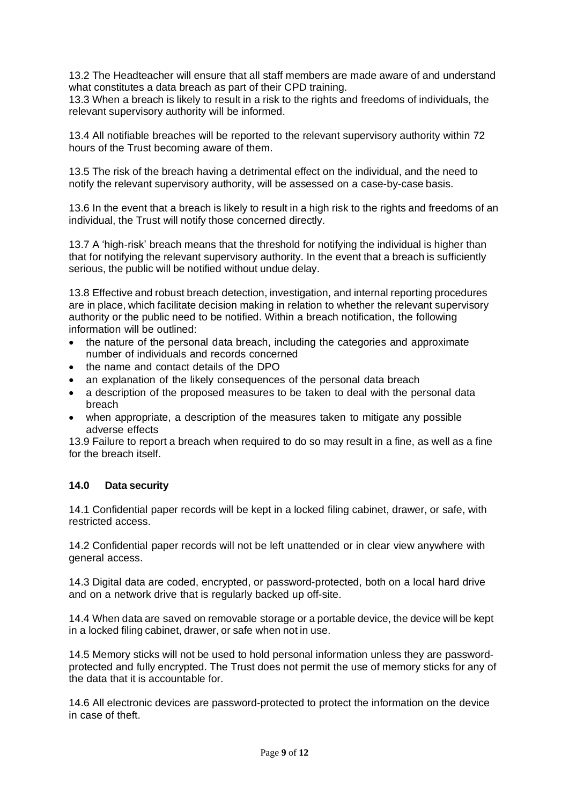13.2 The Headteacher will ensure that all staff members are made aware of and understand what constitutes a data breach as part of their CPD training.

13.3 When a breach is likely to result in a risk to the rights and freedoms of individuals, the relevant supervisory authority will be informed.

13.4 All notifiable breaches will be reported to the relevant supervisory authority within 72 hours of the Trust becoming aware of them.

13.5 The risk of the breach having a detrimental effect on the individual, and the need to notify the relevant supervisory authority, will be assessed on a case-by-case basis.

13.6 In the event that a breach is likely to result in a high risk to the rights and freedoms of an individual, the Trust will notify those concerned directly.

13.7 A 'high-risk' breach means that the threshold for notifying the individual is higher than that for notifying the relevant supervisory authority. In the event that a breach is sufficiently serious, the public will be notified without undue delay.

13.8 Effective and robust breach detection, investigation, and internal reporting procedures are in place, which facilitate decision making in relation to whether the relevant supervisory authority or the public need to be notified. Within a breach notification, the following information will be outlined:

- the nature of the personal data breach, including the categories and approximate number of individuals and records concerned
- the name and contact details of the DPO
- an explanation of the likely consequences of the personal data breach
- a description of the proposed measures to be taken to deal with the personal data breach
- when appropriate, a description of the measures taken to mitigate any possible adverse effects

13.9 Failure to report a breach when required to do so may result in a fine, as well as a fine for the breach itself.

#### **14.0 Data security**

14.1 Confidential paper records will be kept in a locked filing cabinet, drawer, or safe, with restricted access.

14.2 Confidential paper records will not be left unattended or in clear view anywhere with general access.

14.3 Digital data are coded, encrypted, or password-protected, both on a local hard drive and on a network drive that is regularly backed up off-site.

14.4 When data are saved on removable storage or a portable device, the device will be kept in a locked filing cabinet, drawer, or safe when not in use.

14.5 Memory sticks will not be used to hold personal information unless they are passwordprotected and fully encrypted. The Trust does not permit the use of memory sticks for any of the data that it is accountable for.

14.6 All electronic devices are password-protected to protect the information on the device in case of theft.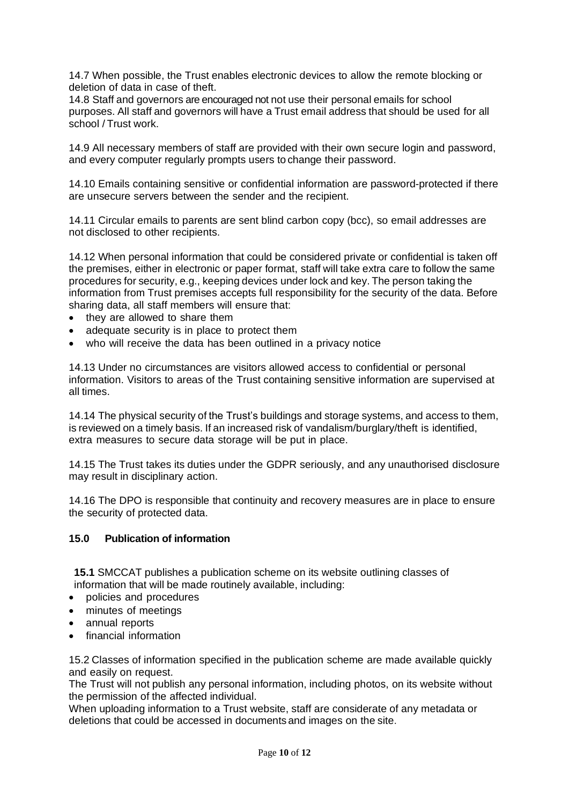14.7 When possible, the Trust enables electronic devices to allow the remote blocking or deletion of data in case of theft.

14.8 Staff and governors are encouraged not not use their personal emails for school purposes. All staff and governors will have a Trust email address that should be used for all school / Trust work.

14.9 All necessary members of staff are provided with their own secure login and password, and every computer regularly prompts users to change their password.

14.10 Emails containing sensitive or confidential information are password-protected if there are unsecure servers between the sender and the recipient.

14.11 Circular emails to parents are sent blind carbon copy (bcc), so email addresses are not disclosed to other recipients.

14.12 When personal information that could be considered private or confidential is taken off the premises, either in electronic or paper format, staff will take extra care to follow the same procedures for security, e.g., keeping devices under lock and key. The person taking the information from Trust premises accepts full responsibility for the security of the data. Before sharing data, all staff members will ensure that:

- they are allowed to share them
- adequate security is in place to protect them
- who will receive the data has been outlined in a privacy notice

14.13 Under no circumstances are visitors allowed access to confidential or personal information. Visitors to areas of the Trust containing sensitive information are supervised at all times.

14.14 The physical security of the Trust's buildings and storage systems, and access to them, is reviewed on a timely basis. If an increased risk of vandalism/burglary/theft is identified, extra measures to secure data storage will be put in place.

14.15 The Trust takes its duties under the GDPR seriously, and any unauthorised disclosure may result in disciplinary action.

14.16 The DPO is responsible that continuity and recovery measures are in place to ensure the security of protected data.

#### **15.0 Publication of information**

**15.1** SMCCAT publishes a publication scheme on its website outlining classes of information that will be made routinely available, including:

- policies and procedures
- minutes of meetings
- annual reports
- financial information

15.2 Classes of information specified in the publication scheme are made available quickly and easily on request.

The Trust will not publish any personal information, including photos, on its website without the permission of the affected individual.

When uploading information to a Trust website, staff are considerate of any metadata or deletions that could be accessed in documents and images on the site.